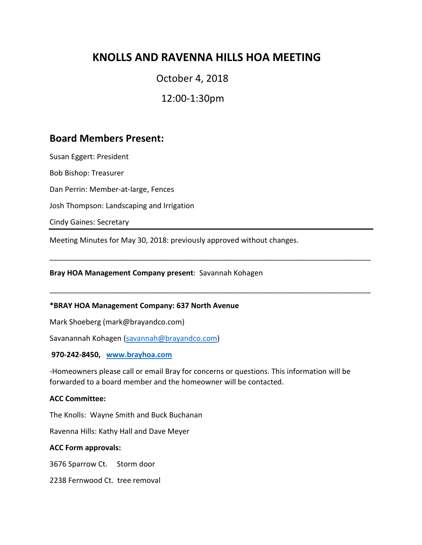# **KNOLLS AND RAVENNA HILLS HOA MEETING**

# October 4, 2018

12:00-1:30pm

# **Board Members Present:**

Susan Eggert: President

Bob Bishop: Treasurer

Dan Perrin: Member-at-large, Fences

Josh Thompson: Landscaping and Irrigation

Cindy Gaines: Secretary

Meeting Minutes for May 30, 2018: previously approved without changes.

**Bray HOA Management Company present**: Savannah Kohagen

#### **\*BRAY HOA Management Company: 637 North Avenue**

Mark Shoeberg (mark@brayandco.com)

Savanannah Kohagen [\(savannah@brayandco.com\)](mailto:savannah@brayandco.com)

#### **970-242-8450, [www.brayhoa.com](http://www.brayhoa.com/)**

-Homeowners please call or email Bray for concerns or questions. This information will be forwarded to a board member and the homeowner will be contacted.

\_\_\_\_\_\_\_\_\_\_\_\_\_\_\_\_\_\_\_\_\_\_\_\_\_\_\_\_\_\_\_\_\_\_\_\_\_\_\_\_\_\_\_\_\_\_\_\_\_\_\_\_\_\_\_\_\_\_\_\_\_\_\_\_\_\_\_\_\_\_\_\_\_\_\_\_\_\_

\_\_\_\_\_\_\_\_\_\_\_\_\_\_\_\_\_\_\_\_\_\_\_\_\_\_\_\_\_\_\_\_\_\_\_\_\_\_\_\_\_\_\_\_\_\_\_\_\_\_\_\_\_\_\_\_\_\_\_\_\_\_\_\_\_\_\_\_\_\_\_\_\_\_\_\_\_\_

#### **ACC Committee:**

The Knolls: Wayne Smith and Buck Buchanan

Ravenna Hills: Kathy Hall and Dave Meyer

#### **ACC Form approvals:**

3676 Sparrow Ct. Storm door

2238 Fernwood Ct. tree removal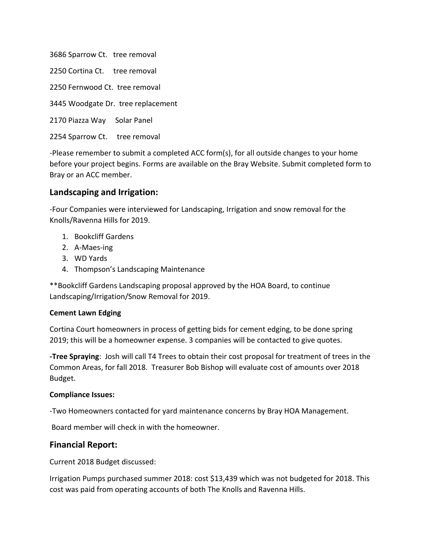3686 Sparrow Ct. tree removal 2250 Cortina Ct. tree removal 2250 Fernwood Ct. tree removal 3445 Woodgate Dr. tree replacement 2170 Piazza Way Solar Panel

2254 Sparrow Ct. tree removal

-Please remember to submit a completed ACC form(s), for all outside changes to your home before your project begins. Forms are available on the Bray Website. Submit completed form to Bray or an ACC member.

## **Landscaping and Irrigation:**

-Four Companies were interviewed for Landscaping, Irrigation and snow removal for the Knolls/Ravenna Hills for 2019.

- 1. Bookcliff Gardens
- 2. A-Maes-ing
- 3. WD Yards
- 4. Thompson's Landscaping Maintenance

\*\*Bookcliff Gardens Landscaping proposal approved by the HOA Board, to continue Landscaping/Irrigation/Snow Removal for 2019.

## **Cement Lawn Edging**

Cortina Court homeowners in process of getting bids for cement edging, to be done spring 2019; this will be a homeowner expense. 3 companies will be contacted to give quotes.

**-Tree Spraying**: Josh will call T4 Trees to obtain their cost proposal for treatment of trees in the Common Areas, for fall 2018. Treasurer Bob Bishop will evaluate cost of amounts over 2018 Budget.

#### **Compliance Issues:**

-Two Homeowners contacted for yard maintenance concerns by Bray HOA Management.

Board member will check in with the homeowner.

# **Financial Report:**

Current 2018 Budget discussed:

Irrigation Pumps purchased summer 2018: cost \$13,439 which was not budgeted for 2018. This cost was paid from operating accounts of both The Knolls and Ravenna Hills.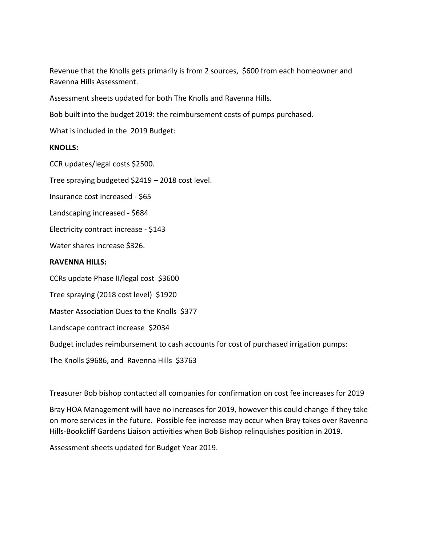Revenue that the Knolls gets primarily is from 2 sources, \$600 from each homeowner and Ravenna Hills Assessment.

Assessment sheets updated for both The Knolls and Ravenna Hills.

Bob built into the budget 2019: the reimbursement costs of pumps purchased.

What is included in the 2019 Budget:

#### **KNOLLS:**

CCR updates/legal costs \$2500.

Tree spraying budgeted \$2419 – 2018 cost level.

Insurance cost increased - \$65

Landscaping increased - \$684

Electricity contract increase - \$143

Water shares increase \$326.

#### **RAVENNA HILLS:**

CCRs update Phase II/legal cost \$3600

Tree spraying (2018 cost level) \$1920

Master Association Dues to the Knolls \$377

Landscape contract increase \$2034

Budget includes reimbursement to cash accounts for cost of purchased irrigation pumps:

The Knolls \$9686, and Ravenna Hills \$3763

Treasurer Bob bishop contacted all companies for confirmation on cost fee increases for 2019

Bray HOA Management will have no increases for 2019, however this could change if they take on more services in the future. Possible fee increase may occur when Bray takes over Ravenna Hills-Bookcliff Gardens Liaison activities when Bob Bishop relinquishes position in 2019.

Assessment sheets updated for Budget Year 2019.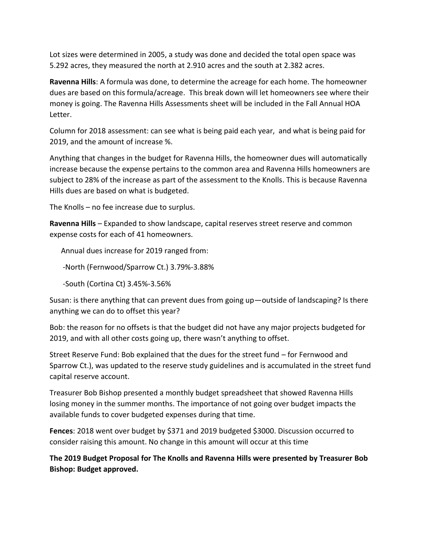Lot sizes were determined in 2005, a study was done and decided the total open space was 5.292 acres, they measured the north at 2.910 acres and the south at 2.382 acres.

**Ravenna Hills**: A formula was done, to determine the acreage for each home. The homeowner dues are based on this formula/acreage. This break down will let homeowners see where their money is going. The Ravenna Hills Assessments sheet will be included in the Fall Annual HOA Letter.

Column for 2018 assessment: can see what is being paid each year, and what is being paid for 2019, and the amount of increase %.

Anything that changes in the budget for Ravenna Hills, the homeowner dues will automatically increase because the expense pertains to the common area and Ravenna Hills homeowners are subject to 28% of the increase as part of the assessment to the Knolls. This is because Ravenna Hills dues are based on what is budgeted.

The Knolls – no fee increase due to surplus.

**Ravenna Hills** – Expanded to show landscape, capital reserves street reserve and common expense costs for each of 41 homeowners.

Annual dues increase for 2019 ranged from:

-North (Fernwood/Sparrow Ct.) 3.79%-3.88%

-South (Cortina Ct) 3.45%-3.56%

Susan: is there anything that can prevent dues from going up—outside of landscaping? Is there anything we can do to offset this year?

Bob: the reason for no offsets is that the budget did not have any major projects budgeted for 2019, and with all other costs going up, there wasn't anything to offset.

Street Reserve Fund: Bob explained that the dues for the street fund – for Fernwood and Sparrow Ct.), was updated to the reserve study guidelines and is accumulated in the street fund capital reserve account.

Treasurer Bob Bishop presented a monthly budget spreadsheet that showed Ravenna Hills losing money in the summer months. The importance of not going over budget impacts the available funds to cover budgeted expenses during that time.

**Fences**: 2018 went over budget by \$371 and 2019 budgeted \$3000. Discussion occurred to consider raising this amount. No change in this amount will occur at this time

**The 2019 Budget Proposal for The Knolls and Ravenna Hills were presented by Treasurer Bob Bishop: Budget approved.**